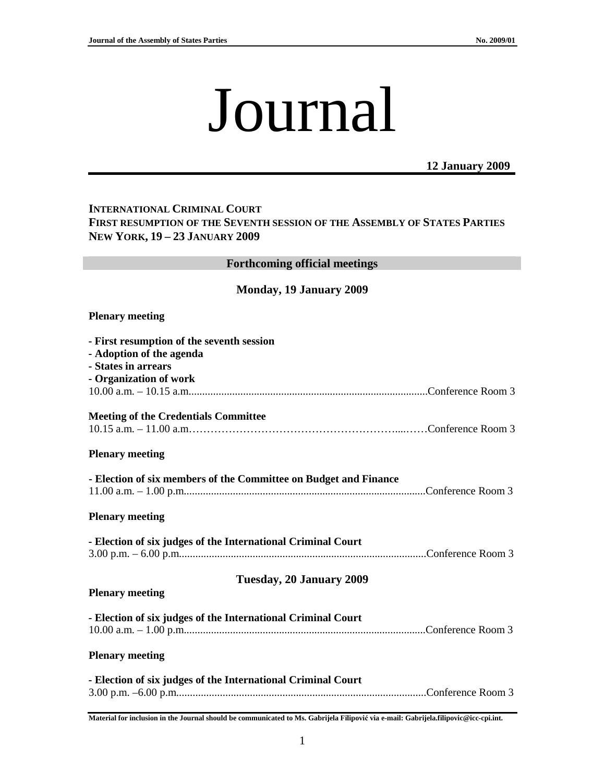# Journal

## **12 January 2009**

## **INTERNATIONAL CRIMINAL COURT FIRST RESUMPTION OF THE SEVENTH SESSION OF THE ASSEMBLY OF STATES PARTIES NEW YORK, 19 – 23 JANUARY 2009**

| <b>Forthcoming official meetings</b>                                                                                   |
|------------------------------------------------------------------------------------------------------------------------|
| <b>Monday, 19 January 2009</b>                                                                                         |
| <b>Plenary meeting</b>                                                                                                 |
| - First resumption of the seventh session<br>- Adoption of the agenda<br>- States in arrears<br>- Organization of work |
| <b>Meeting of the Credentials Committee</b>                                                                            |
| <b>Plenary meeting</b>                                                                                                 |
| - Election of six members of the Committee on Budget and Finance                                                       |
| <b>Plenary meeting</b>                                                                                                 |
| - Election of six judges of the International Criminal Court                                                           |
| Tuesday, 20 January 2009<br><b>Plenary meeting</b>                                                                     |
| - Election of six judges of the International Criminal Court                                                           |
| <b>Plenary meeting</b>                                                                                                 |
| - Election of six judges of the International Criminal Court                                                           |

**Material for inclusion in the Journal should be communicated to Ms. Gabrijela Filipovi**ć **via e-mail: Gabrijela.filipovic@icc-cpi.int.**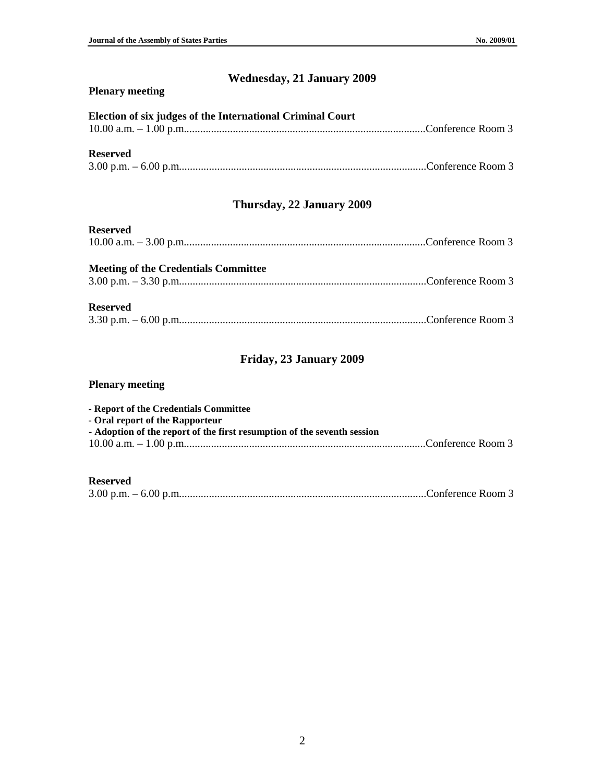# **Wednesday, 21 January 2009**

#### **Plenary meeting**

## **Election of six judges of the International Criminal Court**

| $10.00 a.m. - 1.00 p.m.$ $\ldots$ $\ldots$ $\ldots$ $\ldots$ $\ldots$ $\ldots$ $\ldots$ $\ldots$ $\ldots$ $\ldots$ $\ldots$ $\ldots$ $\ldots$ $\ldots$ $\ldots$ $\ldots$ $\ldots$ $\ldots$ $\ldots$ $\ldots$ $\ldots$ $\ldots$ $\ldots$ $\ldots$ $\ldots$ $\ldots$ $\ldots$ $\ldots$ $\ldots$ $\ldots$ $\ldots$ $\ldots$ $\ldots$ $\ld$ |  |
|-----------------------------------------------------------------------------------------------------------------------------------------------------------------------------------------------------------------------------------------------------------------------------------------------------------------------------------------|--|
|                                                                                                                                                                                                                                                                                                                                         |  |

## **Reserved**

|--|--|--|

## **Thursday, 22 January 2009**

#### **Reserved**

| ----------- |  |
|-------------|--|
|             |  |

# **Meeting of the Credentials Committee**

3.00 p.m. – 3.30 p.m...........................................................................................Conference Room 3

#### **Reserved**

## **Friday, 23 January 2009**

#### **Plenary meeting**

| - Report of the Credentials Committee                                   |  |
|-------------------------------------------------------------------------|--|
| - Oral report of the Rapporteur                                         |  |
| - Adoption of the report of the first resumption of the seventh session |  |
|                                                                         |  |

#### **Reserved**